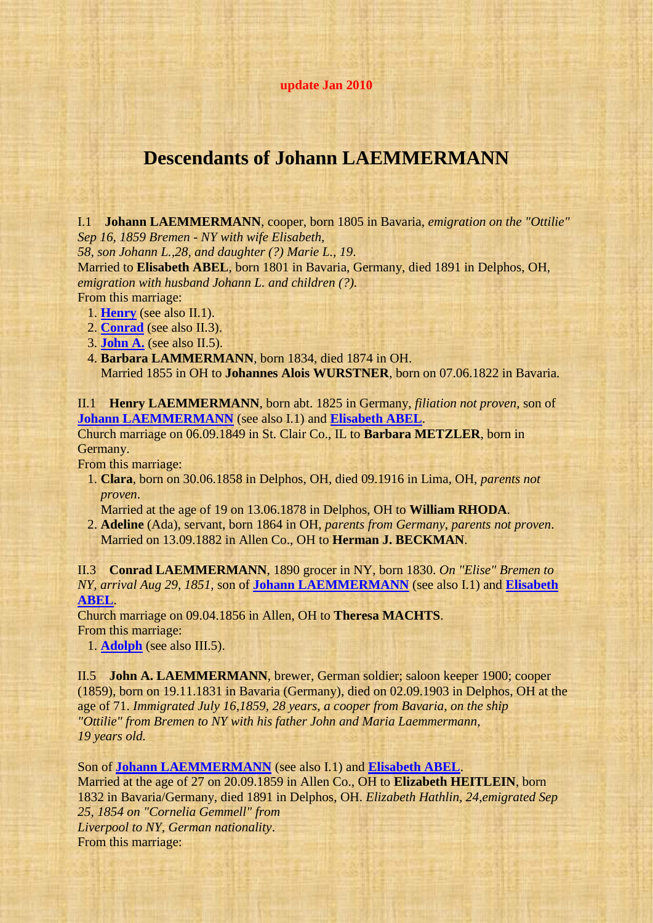## **update Jan 2010**

## **Descendants of Johann LAEMMERMANN**

<span id="page-0-3"></span>I.1 **Johann LAEMMERMANN**, cooper, born 1805 in Bavaria, *emigration on the "Ottilie" Sep 16, 1859 Bremen - NY with wife Elisabeth,*

*58, son Johann L.,28, and daughter (?) Marie L., 19*.

<span id="page-0-4"></span>Married to **Elisabeth ABEL**, born 1801 in Bavaria, Germany, died 1891 in Delphos, OH, *emigration with husband Johann L. and children (?)*. From this marriage:

1. **[Henry](#page-0-0)** (see also II.1).

2. **[Conrad](#page-0-1)** (see also II.3).

3. **[John A.](#page-0-2)** (see also II.5).

 4. **Barbara LAMMERMANN**, born 1834, died 1874 in OH. Married 1855 in OH to **Johannes Alois WURSTNER**, born on 07.06.1822 in Bavaria.

<span id="page-0-0"></span>II.1 **Henry LAEMMERMANN**, born abt. 1825 in Germany, *filiation not proven*, son of **[Johann LAEMMERMANN](#page-0-3)** (see also I.1) and **[Elisabeth ABEL](#page-0-4)**.

Church marriage on 06.09.1849 in St. Clair Co., IL to **Barbara METZLER**, born in Germany.

From this marriage:

 1. **Clara**, born on 30.06.1858 in Delphos, OH, died 09.1916 in Lima, OH, *parents not proven*.

Married at the age of 19 on 13.06.1878 in Delphos, OH to **William RHODA**.

 2. **Adeline** (Ada), servant, born 1864 in OH, *parents from Germany*, *parents not proven*. Married on 13.09.1882 in Allen Co., OH to **Herman J. BECKMAN**.

<span id="page-0-1"></span>II.3 **Conrad LAEMMERMANN**, 1890 grocer in NY, born 1830. *On "Elise" Bremen to NY, arrival Aug 29, 1851*, son of **[Johann LAEMMERMANN](#page-0-3)** (see also I.1) and **[Elisabeth](#page-0-4)  [ABEL](#page-0-4)**.

Church marriage on 09.04.1856 in Allen, OH to **Theresa MACHTS**. From this marriage:

<span id="page-0-5"></span>1. **[Adolph](#page-1-0)** (see also III.5).

<span id="page-0-2"></span>II.5 **John A. LAEMMERMANN**, brewer, German soldier; saloon keeper 1900; cooper (1859), born on 19.11.1831 in Bavaria (Germany), died on 02.09.1903 in Delphos, OH at the age of 71. *Immigrated July 16,1859, 28 years, a cooper from Bavaria, on the ship "Ottilie" from Bremen to NY with his father John and Maria Laemmermann, 19 years old.*

Son of **[Johann LAEMMERMANN](#page-0-3)** (see also I.1) and **[Elisabeth ABEL](#page-0-4)**.

<span id="page-0-6"></span>Married at the age of 27 on 20.09.1859 in Allen Co., OH to **Elizabeth HEITLEIN**, born 1832 in Bavaria/Germany, died 1891 in Delphos, OH. *Elizabeth Hathlin, 24,emigrated Sep 25, 1854 on "Cornelia Gemmell" from Liverpool to NY, German nationality*. From this marriage: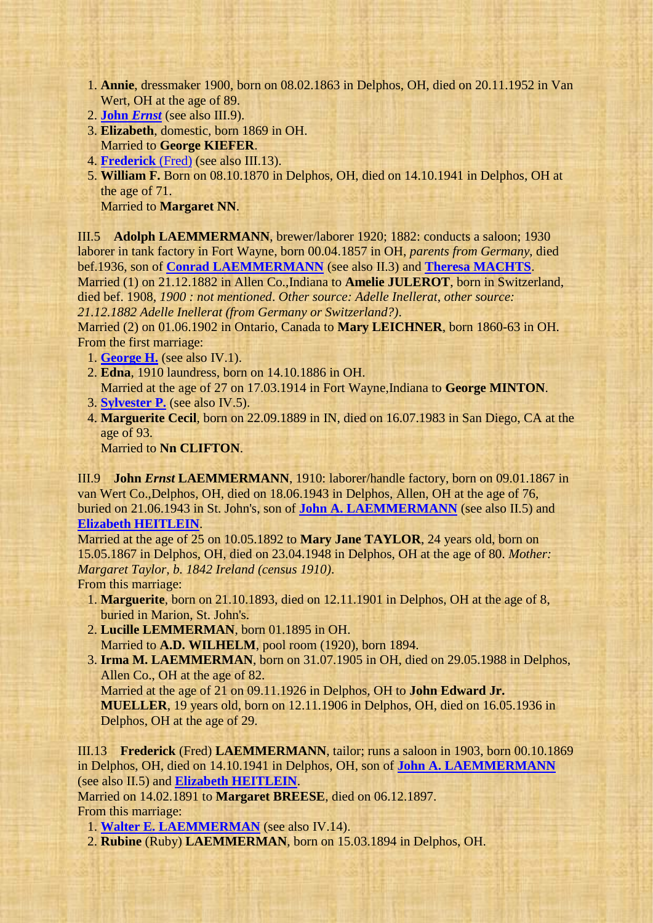- 1. **Annie**, dressmaker 1900, born on 08.02.1863 in Delphos, OH, died on 20.11.1952 in Van Wert, OH at the age of 89.
- 2. **[John](#page-1-1)** *Ernst* (see also III.9).
- 3. **Elizabeth**, domestic, born 1869 in OH. Married to **George KIEFER**.
- 4. **[Frederick](#page-1-2)** (Fred) (see also III.13).
- 5. **William F.** Born on 08.10.1870 in Delphos, OH, died on 14.10.1941 in Delphos, OH at the age of 71.

<span id="page-1-3"></span>Married to **Margaret NN**.

<span id="page-1-0"></span>III.5 **Adolph LAEMMERMANN**, brewer/laborer 1920; 1882: conducts a saloon; 1930 laborer in tank factory in Fort Wayne, born 00.04.1857 in OH, *parents from Germany*, died bef.1936, son of **[Conrad LAEMMERMANN](#page-0-1)** (see also II.3) and **[Theresa MACHTS](#page-0-5)**.

Married (1) on 21.12.1882 in Allen Co.,Indiana to **Amelie JULEROT**, born in Switzerland, died bef. 1908, *1900 : not mentioned*. *Other source: Adelle Inellerat*, *other source:* 

*21.12.1882 Adelle Inellerat (from Germany or Switzerland?)*.

Married (2) on 01.06.1902 in Ontario, Canada to **Mary LEICHNER**, born 1860-63 in OH. From the first marriage:

- 1. **[George H.](#page-2-0)** (see also IV.1).
- 2. **Edna**, 1910 laundress, born on 14.10.1886 in OH. Married at the age of 27 on 17.03.1914 in Fort Wayne,Indiana to **George MINTON**.
- 3. **[Sylvester P.](#page-2-1)** (see also IV.5).
- 4. **Marguerite Cecil**, born on 22.09.1889 in IN, died on 16.07.1983 in San Diego, CA at the age of 93.

Married to **Nn CLIFTON**.

<span id="page-1-1"></span>III.9 **John** *Ernst* **LAEMMERMANN**, 1910: laborer/handle factory, born on 09.01.1867 in van Wert Co.,Delphos, OH, died on 18.06.1943 in Delphos, Allen, OH at the age of 76, buried on 21.06.1943 in St. John's, son of **[John A. LAEMMERMANN](#page-0-2)** (see also II.5) and **[Elizabeth HEITLEIN](#page-0-6)**.

Married at the age of 25 on 10.05.1892 to **Mary Jane TAYLOR**, 24 years old, born on 15.05.1867 in Delphos, OH, died on 23.04.1948 in Delphos, OH at the age of 80. *Mother: Margaret Taylor, b. 1842 Ireland (census 1910)*.

From this marriage:

- 1. **Marguerite**, born on 21.10.1893, died on 12.11.1901 in Delphos, OH at the age of 8, buried in Marion, St. John's.
- 2. **Lucille LEMMERMAN**, born 01.1895 in OH. Married to **A.D. WILHELM**, pool room (1920), born 1894.
- 3. **Irma M. LAEMMERMAN**, born on 31.07.1905 in OH, died on 29.05.1988 in Delphos, Allen Co., OH at the age of 82.

Married at the age of 21 on 09.11.1926 in Delphos, OH to **John Edward Jr. MUELLER**, 19 years old, born on 12.11.1906 in Delphos, OH, died on 16.05.1936 in Delphos, OH at the age of 29.

<span id="page-1-2"></span>III.13 **Frederick** (Fred) **LAEMMERMANN**, tailor; runs a saloon in 1903, born 00.10.1869 in Delphos, OH, died on 14.10.1941 in Delphos, OH, son of **[John A. LAEMMERMANN](#page-0-2)** (see also II.5) and **[Elizabeth HEITLEIN](#page-0-6)**.

Married on 14.02.1891 to **Margaret BREESE**, died on 06.12.1897. From this marriage:

<span id="page-1-4"></span>1. **[Walter E. LAEMMERMAN](#page-2-2)** (see also IV.14).

2. **Rubine** (Ruby) **LAEMMERMAN**, born on 15.03.1894 in Delphos, OH.